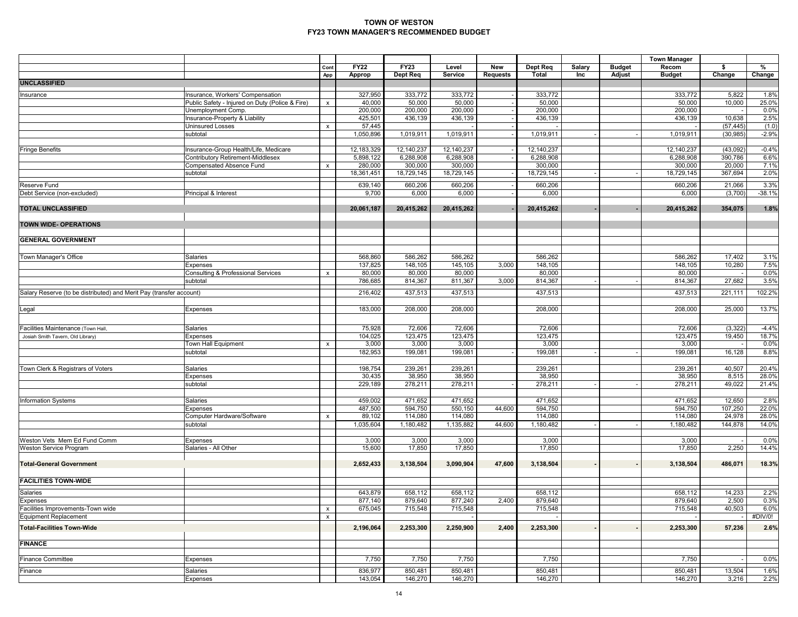|                                                                     |                                                                                     |                    |                       |                      |                      |                 |                       |               |               | <b>Town Manager</b>   |                   |               |
|---------------------------------------------------------------------|-------------------------------------------------------------------------------------|--------------------|-----------------------|----------------------|----------------------|-----------------|-----------------------|---------------|---------------|-----------------------|-------------------|---------------|
|                                                                     |                                                                                     | Cont               | <b>FY22</b>           | <b>FY23</b>          | Level                | New             | Dept Req              | <b>Salary</b> | <b>Budget</b> | Recom                 | \$                | %             |
| <b>UNCLASSIFIED</b>                                                 |                                                                                     | App                | Approp                | Dept Req             | Service              | <b>Requests</b> | <b>Total</b>          | Inc           | Adjust        | <b>Budget</b>         | Change            | Change        |
|                                                                     |                                                                                     |                    |                       |                      |                      |                 |                       |               |               |                       |                   |               |
| Insurance                                                           | Insurance, Workers' Compensation<br>Public Safety - Injured on Duty (Police & Fire) | $\pmb{\mathsf{x}}$ | 327,950<br>40,000     | 333,772<br>50,000    | 333,772<br>50,000    |                 | 333,772<br>50,000     |               |               | 333,772<br>50,000     | 5,822<br>10,000   | 1.8%<br>25.0% |
|                                                                     | Unemployment Comp.                                                                  |                    | 200,000               | 200,000              | 200,000              |                 | 200,000               |               |               | 200,000               |                   | 0.0%          |
|                                                                     | nsurance-Property & Liability                                                       |                    | 425,501               | 436,139              | 436,139              |                 | 436,139               |               |               | 436,139               | 10,638            | 2.5%          |
|                                                                     | <b>Uninsured Losses</b>                                                             | $\pmb{\times}$     | 57,445                |                      |                      |                 |                       |               |               |                       | (57, 445)         | (1.0)         |
|                                                                     | subtotal                                                                            |                    | 1,050,896             | 1,019,911            | 1,019,911            |                 | 1,019,911             |               |               | 1,019,911             | (30, 985)         | $-2.9%$       |
|                                                                     |                                                                                     |                    |                       |                      |                      |                 |                       |               |               |                       |                   |               |
| <b>Fringe Benefits</b>                                              | Insurance-Group Health/Life, Medicare                                               |                    | 12,183,329            | 12,140,237           | 12,140,237           |                 | 12,140,237            |               |               | 12,140,237            | (43,092)          | $-0.4%$       |
|                                                                     | Contributory Retirement-Middlesex                                                   |                    | 5,898,122             | 6,288,908<br>300,000 | 6,288,908<br>300,000 |                 | 6,288,908             |               |               | 6,288,908             | 390,786           | 6.6%<br>7.1%  |
|                                                                     | Compensated Absence Fund<br>subtotal                                                | $\pmb{\mathsf{x}}$ | 280,000<br>18,361,451 | 18,729,145           | 18,729,145           |                 | 300,000<br>18,729,145 |               |               | 300,000<br>18,729,145 | 20,000<br>367,694 | 2.0%          |
|                                                                     |                                                                                     |                    |                       |                      |                      |                 |                       |               |               |                       |                   |               |
| <b>Reserve Fund</b>                                                 |                                                                                     |                    | 639,140               | 660,206              | 660,206              |                 | 660,206               |               |               | 660,206               | 21,066            | 3.3%          |
| Debt Service (non-excluded)                                         | Principal & Interest                                                                |                    | 9,700                 | 6,000                | 6,000                |                 | 6,000                 |               |               | 6,000                 | (3,700)           | $-38.1%$      |
| <b>TOTAL UNCLASSIFIED</b>                                           |                                                                                     |                    | 20,061,187            | 20,415,262           | 20,415,262           |                 | 20,415,262            |               |               | 20,415,262            | 354,075           | 1.8%          |
|                                                                     |                                                                                     |                    |                       |                      |                      |                 |                       |               |               |                       |                   |               |
| <b>TOWN WIDE- OPERATIONS</b>                                        |                                                                                     |                    |                       |                      |                      |                 |                       |               |               |                       |                   |               |
| <b>GENERAL GOVERNMENT</b>                                           |                                                                                     |                    |                       |                      |                      |                 |                       |               |               |                       |                   |               |
|                                                                     |                                                                                     |                    |                       |                      |                      |                 |                       |               |               |                       |                   |               |
| Town Manager's Office                                               | Salaries                                                                            |                    | 568,860               | 586,262              | 586,262              |                 | 586,262               |               |               | 586,262               | 17,402            | 3.1%          |
|                                                                     | Expenses                                                                            |                    | 137,825               | 148,105              | 145,105              | 3,000           | 148,105               |               |               | 148,105               | 10,280            | 7.5%          |
|                                                                     | <b>Consulting &amp; Professional Services</b>                                       | $\pmb{\times}$     | 80,000                | 80,000               | 80,000               |                 | 80,000                |               |               | 80,000                |                   | 0.0%          |
|                                                                     | subtotal                                                                            |                    | 786,685               | 814,367              | 811,367              | 3,000           | 814,367               |               |               | 814,367               | 27,682            | 3.5%          |
| Salary Reserve (to be distributed) and Merit Pay (transfer account) |                                                                                     |                    | 216,402               | 437,513              | 437,513              |                 | 437,513               |               |               | 437,513               | 221,111           | 102.2%        |
|                                                                     |                                                                                     |                    |                       |                      |                      |                 |                       |               |               |                       |                   |               |
| Legal                                                               | Expenses                                                                            |                    | 183,000               | 208,000              | 208,000              |                 | 208,000               |               |               | 208,000               | 25,000            | 13.7%         |
|                                                                     |                                                                                     |                    |                       |                      |                      |                 |                       |               |               |                       |                   |               |
| Facilities Maintenance (Town Hall                                   | Salaries                                                                            |                    | 75,928                | 72,606               | 72,606               |                 | 72,606                |               |               | 72,606                | (3, 322)          | $-4.4%$       |
| Josiah Smith Tavern, Old Library)                                   | Expenses                                                                            |                    | 104,025               | 123,475              | 123,475              |                 | 123,475               |               |               | 123,475               | 19,450            | 18.7%         |
|                                                                     | Town Hall Equipment                                                                 | $\pmb{\mathsf{x}}$ | 3,000                 | 3,000                | 3,000                |                 | 3,000                 |               |               | 3,000                 |                   | 0.0%          |
|                                                                     | subtotal                                                                            |                    | 182,953               | 199,081              | 199,081              |                 | 199,081               |               |               | 199,081               | 16,128            | 8.8%          |
|                                                                     |                                                                                     |                    |                       |                      |                      |                 |                       |               |               |                       |                   |               |
| Town Clerk & Registrars of Voters                                   | Salaries                                                                            |                    | 198,754               | 239,261              | 239,261              |                 | 239,261               |               |               | 239,261               | 40,507            | 20.4%         |
|                                                                     | <b>Expenses</b>                                                                     |                    | 30,435                | 38,950               | 38,950               |                 | 38,950                |               |               | 38,950                | 8,515             | 28.0%         |
|                                                                     | subtotal                                                                            |                    | 229,189               | 278,211              | 278,211              |                 | 278,211               |               |               | 278,211               | 49,022            | 21.4%         |
|                                                                     |                                                                                     |                    | 459,002               |                      | 471,652              |                 |                       |               |               |                       | 12,650            | 2.8%          |
| <b>Information Systems</b>                                          | Salaries<br>Expenses                                                                |                    | 487,500               | 471,652<br>594,750   | 550,150              | 44,600          | 471,652<br>594,750    |               |               | 471,652<br>594,750    | 107,250           | 22.0%         |
|                                                                     | Computer Hardware/Software                                                          | $\pmb{\times}$     | 89,102                | 114,080              | 114,080              |                 | 114,080               |               |               | 114,080               | 24,978            | 28.0%         |
|                                                                     | subtotal                                                                            |                    | 1,035,604             | 1,180,482            | 1,135,882            | 44,600          | 1,180,482             |               |               | 1,180,482             | 144,878           | 14.0%         |
|                                                                     |                                                                                     |                    |                       |                      |                      |                 |                       |               |               |                       |                   |               |
| Weston Vets Mem Ed Fund Comm                                        | Expenses                                                                            |                    | 3,000                 | 3,000                | 3,000                |                 | 3,000                 |               |               | 3,000                 |                   | 0.0%          |
| Weston Service Program                                              | Salaries - All Other                                                                |                    | 15,600                | 17,850               | 17,850               |                 | 17,850                |               |               | 17,850                | 2,250             | 14.4%         |
|                                                                     |                                                                                     |                    |                       |                      |                      |                 |                       |               |               |                       |                   |               |
| <b>Total-General Government</b>                                     |                                                                                     |                    | 2,652,433             | 3,138,504            | 3,090,904            | 47,600          | 3,138,504             |               |               | 3,138,504             | 486,071           | 18.3%         |
| <b>FACILITIES TOWN-WIDE</b>                                         |                                                                                     |                    |                       |                      |                      |                 |                       |               |               |                       |                   |               |
| Salaries                                                            |                                                                                     |                    | 643,879               | 658,112              | 658,112              |                 | 658,112               |               |               | 658,112               | 14,233            | 2.2%          |
|                                                                     |                                                                                     |                    | 877,140               | 879,640              | 877,240              | 2,400           | 879,640               |               |               | 879,640               | 2,500             | 0.3%          |
| Expenses<br>Facilities Improvements-Town wide                       |                                                                                     | x                  | 675,045               | 715,548              | 715,548              |                 | 715,548               |               |               | 715,548               | 40,503            | 6.0%          |
| <b>Equipment Replacement</b>                                        |                                                                                     | $\pmb{\mathsf{x}}$ |                       |                      |                      |                 |                       |               |               |                       |                   | #DIV/0!       |
| <b>Total-Facilities Town-Wide</b>                                   |                                                                                     |                    | 2,196,064             | 2,253,300            | 2,250,900            | 2,400           | 2,253,300             |               |               | 2,253,300             | 57,236            | 2.6%          |
|                                                                     |                                                                                     |                    |                       |                      |                      |                 |                       |               |               |                       |                   |               |
| <b>FINANCE</b>                                                      |                                                                                     |                    |                       |                      |                      |                 |                       |               |               |                       |                   |               |
|                                                                     |                                                                                     |                    |                       |                      |                      |                 |                       |               |               |                       |                   |               |
| <b>Finance Committee</b>                                            | Expenses                                                                            |                    | 7,750                 | 7,750                | 7,750                |                 | 7,750                 |               |               | 7,750                 |                   | 0.0%          |
| Finance                                                             | Salaries                                                                            |                    | 836,977               | 850,481              | 850,481              |                 | 850,481               |               |               | 850,481               | 13,504            | 1.6%          |
|                                                                     | Expenses                                                                            |                    | 143,054               | 146,270              | 146,270              |                 | 146,270               |               |               | 146,270               | 3,216             | 2.2%          |
|                                                                     |                                                                                     |                    |                       |                      |                      |                 |                       |               |               |                       |                   |               |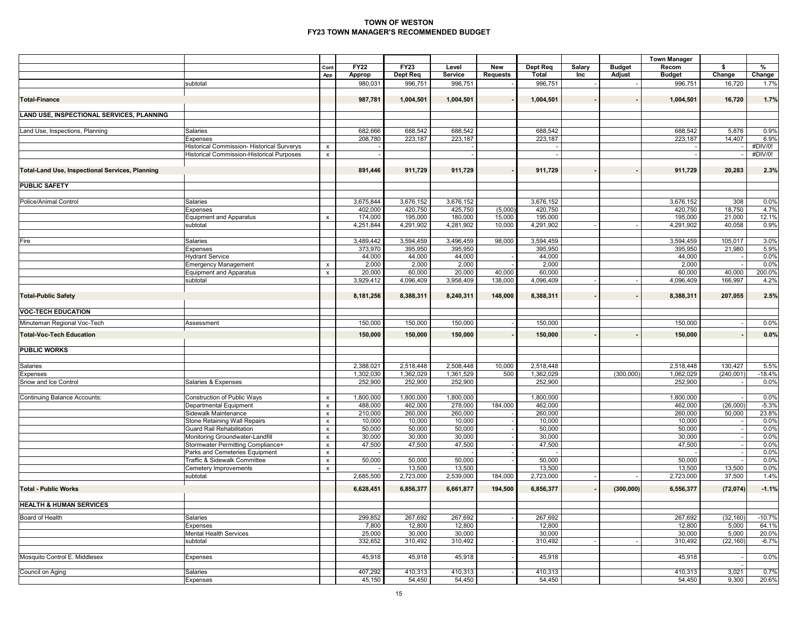|                                                        |                                                                      |                                      |                       |                         |                      |                        |                      |               |                         | <b>Town Manager</b>    |               |                 |
|--------------------------------------------------------|----------------------------------------------------------------------|--------------------------------------|-----------------------|-------------------------|----------------------|------------------------|----------------------|---------------|-------------------------|------------------------|---------------|-----------------|
|                                                        |                                                                      | Cont<br>App                          | <b>FY22</b><br>Approp | <b>FY23</b><br>Dept Req | Level<br>Service     | New<br><b>Requests</b> | Dept Req<br>Total    | Salary<br>Inc | <b>Budget</b><br>Adjust | Recom<br><b>Budget</b> | \$<br>Change  | %<br>Change     |
|                                                        | subtotal                                                             |                                      | 980,031               | 996,751                 | 996,751              |                        | 996,751              |               |                         | 996,751                | 16,720        | 1.7%            |
| <b>Total-Finance</b>                                   |                                                                      |                                      | 987,781               | 1,004,501               | 1,004,501            |                        | 1,004,501            |               |                         | 1,004,501              | 16,720        | 1.7%            |
| LAND USE, INSPECTIONAL SERVICES, PLANNING              |                                                                      |                                      |                       |                         |                      |                        |                      |               |                         |                        |               |                 |
|                                                        |                                                                      |                                      |                       |                         |                      |                        |                      |               |                         |                        |               |                 |
| Land Use, Inspections, Planning                        | Salaries                                                             |                                      | 682,666               | 688,542                 | 688,542              |                        | 688,542              |               |                         | 688,542                | 5,876         | 0.9%            |
|                                                        | <b>Expenses</b><br>Historical Commission- Historical Surverys        | $\pmb{\times}$                       | 208,780               | 223,187                 | 223,187              |                        | 223,187              |               |                         | 223,187                | 14,407        | 6.9%<br>#DIV/0! |
|                                                        | <b>Historical Commission-Historical Purposes</b>                     | $\pmb{\mathsf{x}}$                   |                       |                         |                      |                        |                      |               |                         |                        |               | #DIV/0!         |
|                                                        |                                                                      |                                      |                       |                         |                      |                        |                      |               |                         |                        |               |                 |
| <b>Total-Land Use, Inspectional Services, Planning</b> |                                                                      |                                      | 891,446               | 911,729                 | 911,729              |                        | 911,729              |               |                         | 911,729                | 20,283        | 2.3%            |
| <b>PUBLIC SAFETY</b>                                   |                                                                      |                                      |                       |                         |                      |                        |                      |               |                         |                        |               |                 |
|                                                        |                                                                      |                                      |                       |                         |                      |                        |                      |               |                         |                        |               |                 |
| Police/Animal Control                                  | Salaries<br><b>Expenses</b>                                          |                                      | 3,675,844<br>402,000  | 3,676,152<br>420,750    | 3,676,152<br>425,750 | (5,000)                | 3,676,152<br>420,750 |               |                         | 3,676,152<br>420,750   | 308<br>18,750 | 0.0%<br>4.7%    |
|                                                        | Equipment and Apparatus                                              | $\boldsymbol{\mathsf{x}}$            | 174,000               | 195,000                 | 180,000              | 15,000                 | 195,000              |               |                         | 195,000                | 21,000        | 12.1%           |
|                                                        | subtotal                                                             |                                      | 4,251,844             | 4,291,902               | 4,281,902            | 10,000                 | 4,291,902            |               |                         | 4,291,902              | 40,058        | 0.9%            |
|                                                        |                                                                      |                                      |                       |                         |                      |                        |                      |               |                         |                        |               |                 |
| Fire                                                   | Salaries                                                             |                                      | 3,489,442             | 3,594,459               | 3,496,459            | 98,000                 | 3,594,459            |               |                         | 3,594,459              | 105,017       | 3.0%            |
|                                                        | Expenses                                                             |                                      | 373,970<br>44,000     | 395,950<br>44,000       | 395,950<br>44,000    |                        | 395,950<br>44,000    |               |                         | 395,950<br>44,000      | 21,980        | 5.9%<br>0.0%    |
|                                                        | <b>Hydrant Service</b><br><b>Emergency Management</b>                | $\pmb{\mathsf{x}}$                   | 2,000                 | 2,000                   | 2,000                |                        | 2,000                |               |                         | 2,000                  |               | 0.0%            |
|                                                        | Equipment and Apparatus                                              | $\pmb{\times}$                       | 20,000                | 60,000                  | 20,000               | 40,000                 | 60,000               |               |                         | 60,000                 | 40,000        | 200.0%          |
|                                                        | subtotal                                                             |                                      | 3,929,412             | 4,096,409               | 3,958,409            | 138,000                | 4,096,409            |               |                         | 4,096,409              | 166,997       | 4.2%            |
| <b>Total-Public Safety</b>                             |                                                                      |                                      | 8,181,256             | 8,388,311               | 8,240,311            | 148,000                | 8,388,311            |               |                         | 8,388,311              | 207,055       | 2.5%            |
| <b>VOC-TECH EDUCATION</b>                              |                                                                      |                                      |                       |                         |                      |                        |                      |               |                         |                        |               |                 |
| Minuteman Regional Voc-Tech                            | Assessment                                                           |                                      | 150,000               | 150,000                 | 150,000              |                        | 150,000              |               |                         | 150,000                |               | 0.0%            |
| <b>Total-Voc-Tech Education</b>                        |                                                                      |                                      | 150,000               | 150,000                 | 150,000              |                        | 150,000              |               |                         | 150,000                |               | 0.0%            |
| <b>PUBLIC WORKS</b>                                    |                                                                      |                                      |                       |                         |                      |                        |                      |               |                         |                        |               |                 |
|                                                        |                                                                      |                                      |                       |                         |                      |                        |                      |               |                         |                        |               |                 |
| Salaries                                               |                                                                      |                                      | 2,388,021             | 2,518,448               | 2,508,448            | 10,000                 | 2,518,448            |               |                         | 2,518,448              | 130,427       | 5.5%            |
| <b>Expenses</b>                                        |                                                                      |                                      | 1,302,030             | 1,362,029               | 1,361,529            | 500                    | 1,362,029            |               | (300,000)               | 1,062,029              | (240,001)     | $-18.4%$        |
| Snow and Ice Control                                   | Salaries & Expenses                                                  |                                      | 252,900               | 252,900                 | 252,900              |                        | 252,900              |               |                         | 252,900                |               | 0.0%            |
| <b>Continuing Balance Accounts:</b>                    | Construction of Public Ways                                          | $\boldsymbol{\mathsf{x}}$            | 1,800,000             | 1,800,000               | 1,800,000            |                        | 1,800,000            |               |                         | 1,800,000              |               | 0.0%            |
|                                                        | <b>Departmental Equipment</b>                                        | $\pmb{\times}$                       | 488,000               | 462,000                 | 278,000              | 184,000                | 462,000              |               |                         | 462,000                | (26,000)      | $-5.3%$         |
|                                                        | Sidewalk Maintenance                                                 | $\pmb{\mathsf{x}}$                   | 210,000               | 260,000                 | 260,000              |                        | 260,000              |               |                         | 260,000                | 50,000        | 23.8%           |
|                                                        | Stone Retaining Wall Repairs                                         | $\pmb{\times}$                       | 10,000                | 10,000                  | 10,000               |                        | 10,000               |               |                         | 10,000                 |               | 0.0%            |
|                                                        | <b>Guard Rail Rehabilitation</b>                                     | $\pmb{\mathsf{x}}$                   | 50,000                | 50,000                  | 50,000               |                        | 50,000               |               |                         | 50,000                 |               | 0.0%            |
|                                                        | Monitoring Groundwater-Landfill<br>Stormwater Permitting Compliance+ | $\pmb{\mathsf{x}}$<br>$\pmb{\times}$ | 30,000<br>47,500      | 30,000<br>47,500        | 30,000<br>47,500     |                        | 30,000<br>47,500     |               |                         | 30,000<br>47,500       |               | 0.0%<br>0.0%    |
|                                                        | Parks and Cemeteries Equipment                                       | $\pmb{\mathsf{x}}$                   |                       |                         |                      |                        |                      |               |                         |                        |               | 0.0%            |
|                                                        | Traffic & Sidewalk Committee                                         | $\pmb{\times}$                       | 50,000                | 50,000                  | 50,000               |                        | 50,000               |               |                         | 50,000                 |               | 0.0%            |
|                                                        | Cemetery Improvements                                                | $\pmb{\times}$                       |                       | 13,500                  | 13,500               |                        | 13,500               |               |                         | 13,500                 | 13,500        | 0.0%            |
|                                                        | subtotal                                                             |                                      | 2,685,500             | 2,723,000               | 2,539,000            | 184,000                | 2,723,000            |               |                         | 2,723,000              | 37,500        | 1.4%            |
| <b>Total - Public Works</b>                            |                                                                      |                                      | 6,628,451             | 6,856,377               | 6,661,877            | 194,500                | 6,856,377            |               | (300, 000)              | 6,556,377              | (72, 074)     | $-1.1%$         |
| <b>HEALTH &amp; HUMAN SERVICES</b>                     |                                                                      |                                      |                       |                         |                      |                        |                      |               |                         |                        |               |                 |
| Board of Health                                        | Salaries                                                             |                                      | 299,852               | 267,692                 | 267,692              |                        | 267,692              |               |                         | 267,692                | (32, 160)     | $-10.7%$        |
|                                                        | Expenses                                                             |                                      | 7,800                 | 12,800                  | 12,800               |                        | 12,800               |               |                         | 12,800                 | 5,000         | 64.1%           |
|                                                        | <b>Mental Health Services</b>                                        |                                      | 25,000                | 30,000                  | 30,000               |                        | 30,000               |               |                         | 30,000                 | 5,000         | 20.0%           |
|                                                        | subtotal                                                             |                                      | 332,652               | 310,492                 | 310,492              |                        | 310,492              |               |                         | 310,492                | (22, 160)     | $-6.7%$         |
| Mosquito Control E. Middlesex                          | <b>Expenses</b>                                                      |                                      | 45,918                | 45,918                  | 45,918               |                        | 45,918               |               |                         | 45,918                 |               | 0.0%            |
| Council on Aging                                       | Salaries                                                             |                                      | 407,292               | 410,313                 | 410,313              |                        | 410,313              |               |                         | 410,313                | 3,021         | 0.7%            |
|                                                        | Expenses                                                             |                                      | 45,150                | 54,450                  | 54,450               |                        | 54,450               |               |                         | 54,450                 | 9,300         | 20.6%           |
|                                                        |                                                                      |                                      |                       |                         |                      |                        |                      |               |                         |                        |               |                 |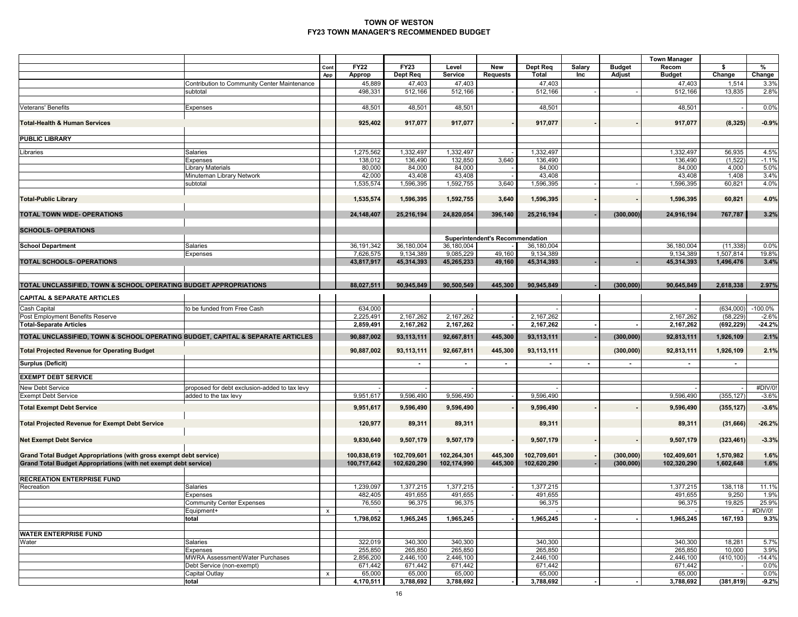|                                                                                                                                        |                                               |                           |                           |                         |                         |                                        |                   |                |               | <b>Town Manager</b>        |              |                 |
|----------------------------------------------------------------------------------------------------------------------------------------|-----------------------------------------------|---------------------------|---------------------------|-------------------------|-------------------------|----------------------------------------|-------------------|----------------|---------------|----------------------------|--------------|-----------------|
|                                                                                                                                        |                                               | Cont                      | <b>FY22</b>               | <b>FY23</b><br>Dept Req | Level<br><b>Service</b> | New                                    | Dept Req<br>Total | Salary<br>Inc  | <b>Budget</b> | Recom<br><b>Budget</b>     | \$<br>Change | %               |
|                                                                                                                                        | Contribution to Community Center Maintenance  | App                       | Approp<br>45,889          | 47,403                  | 47,403                  | Requests                               | 47,403            |                | Adjust        | 47,403                     | 1,514        | Change<br>3.3%  |
|                                                                                                                                        | subtotal                                      |                           | 498,331                   | 512,166                 | 512,166                 |                                        | 512,166           |                |               | 512,166                    | 13,835       | 2.8%            |
|                                                                                                                                        |                                               |                           |                           |                         |                         |                                        |                   |                |               |                            |              |                 |
| Veterans' Benefits                                                                                                                     | Expenses                                      |                           | 48,501                    | 48,501                  | 48,501                  |                                        | 48,501            |                |               | 48,501                     |              | 0.0%            |
| <b>Total-Health &amp; Human Services</b>                                                                                               |                                               |                           | 925,402                   | 917,077                 | 917,077                 |                                        | 917,077           |                |               | 917,077                    | (8, 325)     | $-0.9%$         |
| <b>PUBLIC LIBRARY</b>                                                                                                                  |                                               |                           |                           |                         |                         |                                        |                   |                |               |                            |              |                 |
| Libraries                                                                                                                              | Salaries                                      |                           | 1,275,562                 | 1,332,497               | 1,332,497               |                                        | 1,332,497         |                |               | 1,332,497                  | 56,935       | 4.5%            |
|                                                                                                                                        | Expenses                                      |                           | 138,012                   | 136,490                 | 132,850                 | 3,640                                  | 136,490           |                |               | 136,490                    | (1,522)      | $-1.1%$         |
|                                                                                                                                        | Library Materials                             |                           | 80,000                    | 84,000                  | 84,000                  |                                        | 84,000            |                |               | 84,000                     | 4,000        | 5.0%            |
|                                                                                                                                        | Minuteman Library Network                     |                           | 42,000                    | 43,408                  | 43,408                  |                                        | 43,408            |                |               | 43,408                     | 1,408        | 3.4%            |
|                                                                                                                                        | subtotal                                      |                           | 1,535,574                 | 1,596,395               | 1,592,755               | 3,640                                  | 1,596,395         |                |               | 1,596,395                  | 60,821       | 4.0%            |
| <b>Total-Public Library</b>                                                                                                            |                                               |                           | 1,535,574                 | 1,596,395               | 1,592,755               | 3,640                                  | 1,596,395         |                |               | 1,596,395                  | 60,821       | 4.0%            |
| TOTAL TOWN WIDE- OPERATIONS                                                                                                            |                                               |                           | 24,148,407                | 25,216,194              | 24,820,054              | 396,140                                | 25,216,194        |                | (300, 000)    | 24,916,194                 | 767,787      | 3.2%            |
|                                                                                                                                        |                                               |                           |                           |                         |                         |                                        |                   |                |               |                            |              |                 |
| <b>SCHOOLS- OPERATIONS</b>                                                                                                             |                                               |                           |                           |                         |                         |                                        |                   |                |               |                            |              |                 |
|                                                                                                                                        | Salaries                                      |                           |                           | 36,180,004              | 36,180,004              | <b>Superintendent's Recommendation</b> | 36,180,004        |                |               | 36,180,004                 | (11, 338)    | 0.0%            |
| <b>School Department</b>                                                                                                               | Expenses                                      |                           | 36, 191, 342<br>7,626,575 | 9,134,389               | 9,085,229               | 49,160                                 | 9,134,389         |                |               | 9,134,389                  | 1,507,814    | 19.8%           |
| TOTAL SCHOOLS-OPERATIONS                                                                                                               |                                               |                           | 43,817,917                | 45,314,393              | 45,265,233              | 49,160                                 | 45,314,393        |                |               | 45,314,393                 | 1,496,476    | 3.4%            |
|                                                                                                                                        |                                               |                           |                           |                         |                         |                                        |                   |                |               |                            |              |                 |
| TOTAL UNCLASSIFIED, TOWN & SCHOOL OPERATING BUDGET APPROPRIATIONS                                                                      |                                               |                           | 88,027,511                | 90,945,849              | 90,500,549              | 445,300                                | 90,945,849        |                | (300, 000)    | 90,645,849                 | 2,618,338    | 2.97%           |
| <b>CAPITAL &amp; SEPARATE ARTICLES</b>                                                                                                 |                                               |                           |                           |                         |                         |                                        |                   |                |               |                            |              |                 |
| Cash Capital                                                                                                                           | to be funded from Free Cash                   |                           | 634,000                   |                         |                         |                                        |                   |                |               |                            | (634,000)    | $-100.0\%$      |
| Post Employment Benefits Reserve                                                                                                       |                                               |                           | 2,225,491                 | 2,167,262               | 2,167,262               |                                        | 2,167,262         |                |               | 2,167,262                  | (58, 229)    | $-2.6%$         |
| <b>Total-Separate Articles</b>                                                                                                         |                                               |                           | 2,859,491                 | 2,167,262               | 2,167,262               |                                        | 2,167,262         |                |               | 2,167,262                  | (692, 229)   | $-24.2%$        |
| TOTAL UNCLASSIFIED, TOWN & SCHOOL OPERATING BUDGET, CAPITAL & SEPARATE ARTICLES                                                        |                                               |                           | 90,887,002                | 93,113,111              | 92,667,811              | 445,300                                | 93,113,111        |                | (300, 000)    | 92,813,111                 | 1,926,109    | 2.1%            |
| <b>Total Projected Revenue for Operating Budget</b>                                                                                    |                                               |                           | 90,887,002                | 93,113,111              | 92,667,811              | 445,300                                | 93,113,111        |                | (300, 000)    | 92,813,111                 | 1,926,109    | 2.1%            |
| <b>Surplus (Deficit)</b>                                                                                                               |                                               |                           |                           | $\sim$                  | $\blacksquare$          | $\sim$                                 | $\sim$            | $\blacksquare$ | $\sim$        | $\blacksquare$             | $\sim$       |                 |
| <b>EXEMPT DEBT SERVICE</b>                                                                                                             |                                               |                           |                           |                         |                         |                                        |                   |                |               |                            |              |                 |
| New Debt Service                                                                                                                       | proposed for debt exclusion-added to tax levy |                           |                           |                         |                         |                                        |                   |                |               |                            |              | #DIV/0!         |
| <b>Exempt Debt Service</b>                                                                                                             | added to the tax levy                         |                           | 9,951,617                 | 9,596,490               | 9,596,490               |                                        | 9,596,490         |                |               | 9,596,490                  | (355, 127)   | $-3.6%$         |
| <b>Total Exempt Debt Service</b>                                                                                                       |                                               |                           | 9,951,617                 | 9,596,490               | 9,596,490               |                                        | 9,596,490         |                |               | 9,596,490                  | (355, 127)   | $-3.6%$         |
| <b>Total Projected Revenue for Exempt Debt Service</b>                                                                                 |                                               |                           | 120,977                   | 89,311                  | 89,311                  |                                        | 89,311            |                |               | 89,311                     | (31, 666)    | $-26.2%$        |
| <b>Net Exempt Debt Service</b>                                                                                                         |                                               |                           | 9,830,640                 | 9,507,179               | 9,507,179               |                                        | 9,507,179         |                |               | 9,507,179                  | (323, 461)   | $-3.3%$         |
|                                                                                                                                        |                                               |                           |                           |                         |                         |                                        |                   |                |               |                            |              |                 |
| Grand Total Budget Appropriations (with gross exempt debt service)<br>Grand Total Budget Appropriations (with net exempt debt service) |                                               |                           | 100,838,619               | 102,709,601             | 102,264,301             | 445,300<br>445,300                     | 102,709,601       |                | (300, 000)    | 102,409,601<br>102,320,290 | 1,570,982    | 1.6%            |
|                                                                                                                                        |                                               |                           | 100,717,642               | 102,620,290             | 102,174,990             |                                        | 102,620,290       |                | (300, 000)    |                            | 1,602,648    | 1.6%            |
| <b>RECREATION ENTERPRISE FUND</b>                                                                                                      |                                               |                           |                           |                         |                         |                                        |                   |                |               |                            |              |                 |
| Recreation                                                                                                                             | Salaries                                      |                           | 1,239,097                 | 1,377,215               | 1,377,215               |                                        | 1,377,215         |                |               | 1,377,215                  | 138,118      | 11.1%           |
|                                                                                                                                        | Expenses                                      |                           | 482,405                   | 491,655                 | 491,655                 |                                        | 491,655           |                |               | 491,655                    | 9,250        | 1.9%            |
|                                                                                                                                        | <b>Community Center Expenses</b>              |                           | 76,550                    | 96,375                  | 96,375                  |                                        | 96,375            |                |               | 96,375                     | 19,825       | 25.9%           |
|                                                                                                                                        | Equipment+<br>total                           | $\mathsf{x}$              | 1,798,052                 | 1.965.245               | 1,965,245               |                                        | 1,965,245         |                |               | 1,965,245                  | 167,193      | #DIV/0!<br>9.3% |
|                                                                                                                                        |                                               |                           |                           |                         |                         |                                        |                   |                |               |                            |              |                 |
| <b>WATER ENTERPRISE FUND</b>                                                                                                           |                                               |                           |                           |                         |                         |                                        |                   |                |               |                            |              |                 |
| Water                                                                                                                                  | Salaries                                      |                           | 322,019                   | 340,300                 | 340,300                 |                                        | 340,300           |                |               | 340,300                    | 18,281       | 5.7%            |
|                                                                                                                                        | Expenses                                      |                           | 255,850                   | 265,850                 | 265,850                 |                                        | 265,850           |                |               | 265,850                    | 10,000       | 3.9%            |
|                                                                                                                                        | <b>MWRA Assessment/Water Purchases</b>        |                           | 2,856,200                 | 2,446,100               | 2,446,100               |                                        | 2,446,100         |                |               | 2,446,100                  | (410, 100)   | $-14.4%$        |
|                                                                                                                                        | Debt Service (non-exempt)<br>Capital Outlay   |                           | 671,442<br>65,000         | 671,442<br>65,000       | 671,442<br>65,000       |                                        | 671,442<br>65,000 |                |               | 671,442<br>65,000          |              | 0.0%<br>0.0%    |
|                                                                                                                                        | total                                         | $\boldsymbol{\mathsf{x}}$ | 4,170,511                 | 3,788,692               | 3,788,692               |                                        | 3,788,692         |                |               | 3,788,692                  | (381, 819)   | $-9.2%$         |
|                                                                                                                                        |                                               |                           |                           |                         |                         |                                        |                   |                |               |                            |              |                 |